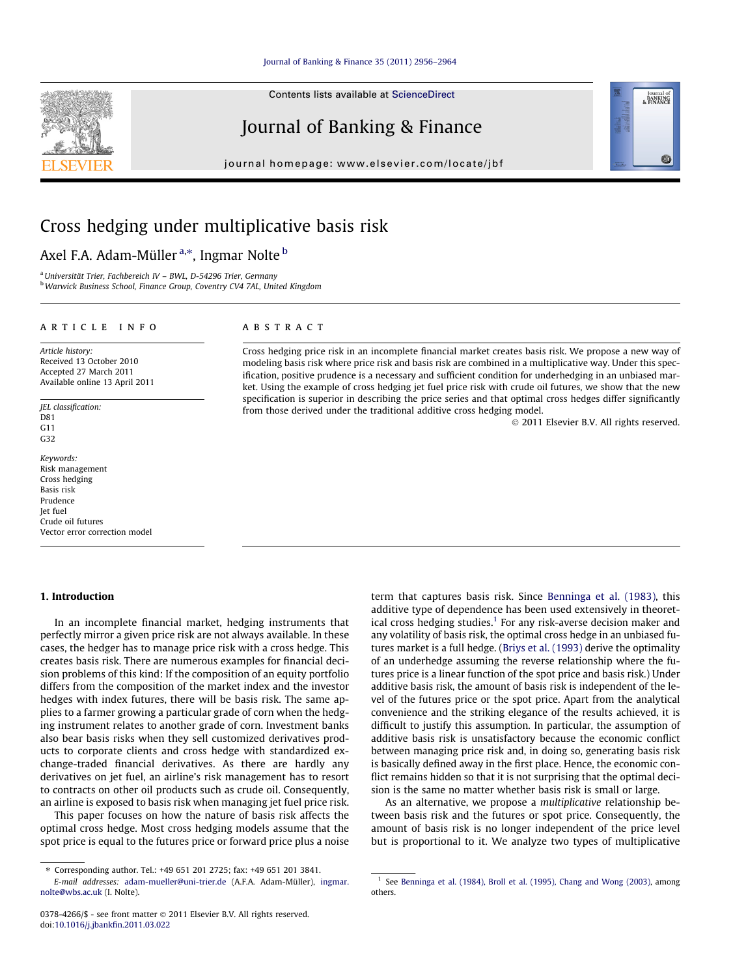Contents lists available at [ScienceDirect](http://www.sciencedirect.com/science/journal/03784266)

# Journal of Banking & Finance

journal homepage: [www.elsevier.com/locate/jbf](http://www.elsevier.com/locate/jbf)

# Cross hedging under multiplicative basis risk

# Axel F.A. Adam-Müller <sup>a,</sup>\*, Ingmar Nolte <sup>b</sup>

<sup>a</sup>Universität Trier, Fachbereich IV – BWL, D-54296 Trier, Germany b Warwick Business School, Finance Group, Coventry CV4 7AL, United Kingdom

# article info

Article history: Received 13 October 2010 Accepted 27 March 2011 Available online 13 April 2011

JEL classification: D81  $G<sub>11</sub>$ G32

Keywords: Risk management Cross hedging Basis risk Prudence Jet fuel Crude oil futures Vector error correction model

## 1. Introduction

In an incomplete financial market, hedging instruments that perfectly mirror a given price risk are not always available. In these cases, the hedger has to manage price risk with a cross hedge. This creates basis risk. There are numerous examples for financial decision problems of this kind: If the composition of an equity portfolio differs from the composition of the market index and the investor hedges with index futures, there will be basis risk. The same applies to a farmer growing a particular grade of corn when the hedging instrument relates to another grade of corn. Investment banks also bear basis risks when they sell customized derivatives products to corporate clients and cross hedge with standardized exchange-traded financial derivatives. As there are hardly any derivatives on jet fuel, an airline's risk management has to resort to contracts on other oil products such as crude oil. Consequently, an airline is exposed to basis risk when managing jet fuel price risk.

This paper focuses on how the nature of basis risk affects the optimal cross hedge. Most cross hedging models assume that the spot price is equal to the futures price or forward price plus a noise

# **ABSTRACT**

Cross hedging price risk in an incomplete financial market creates basis risk. We propose a new way of modeling basis risk where price risk and basis risk are combined in a multiplicative way. Under this specification, positive prudence is a necessary and sufficient condition for underhedging in an unbiased market. Using the example of cross hedging jet fuel price risk with crude oil futures, we show that the new specification is superior in describing the price series and that optimal cross hedges differ significantly from those derived under the traditional additive cross hedging model.

- 2011 Elsevier B.V. All rights reserved.

term that captures basis risk. Since [Benninga et al. \(1983\),](#page-8-0) this additive type of dependence has been used extensively in theoretical cross hedging studies.<sup>1</sup> For any risk-averse decision maker and any volatility of basis risk, the optimal cross hedge in an unbiased futures market is a full hedge. ([Briys et al. \(1993\)](#page-8-0) derive the optimality of an underhedge assuming the reverse relationship where the futures price is a linear function of the spot price and basis risk.) Under additive basis risk, the amount of basis risk is independent of the level of the futures price or the spot price. Apart from the analytical convenience and the striking elegance of the results achieved, it is difficult to justify this assumption. In particular, the assumption of additive basis risk is unsatisfactory because the economic conflict between managing price risk and, in doing so, generating basis risk is basically defined away in the first place. Hence, the economic conflict remains hidden so that it is not surprising that the optimal decision is the same no matter whether basis risk is small or large.

As an alternative, we propose a multiplicative relationship between basis risk and the futures or spot price. Consequently, the amount of basis risk is no longer independent of the price level but is proportional to it. We analyze two types of multiplicative





<sup>⇑</sup> Corresponding author. Tel.: +49 651 201 2725; fax: +49 651 201 3841.

E-mail addresses: [adam-mueller@uni-trier.de](mailto:adam-mueller@uni-trier.de) (A.F.A. Adam-Müller), [ingmar.](mailto:ingmar.nolte@wbs.ac.uk) [nolte@wbs.ac.uk](mailto:ingmar.nolte@wbs.ac.uk) (I. Nolte).

<sup>0378-4266/\$ -</sup> see front matter © 2011 Elsevier B.V. All rights reserved. doi:[10.1016/j.jbankfin.2011.03.022](http://dx.doi.org/10.1016/j.jbankfin.2011.03.022)

 $<sup>1</sup>$  See [Benninga et al. \(1984\), Broll et al. \(1995\), Chang and Wong \(2003\),](#page-8-0) among</sup> others.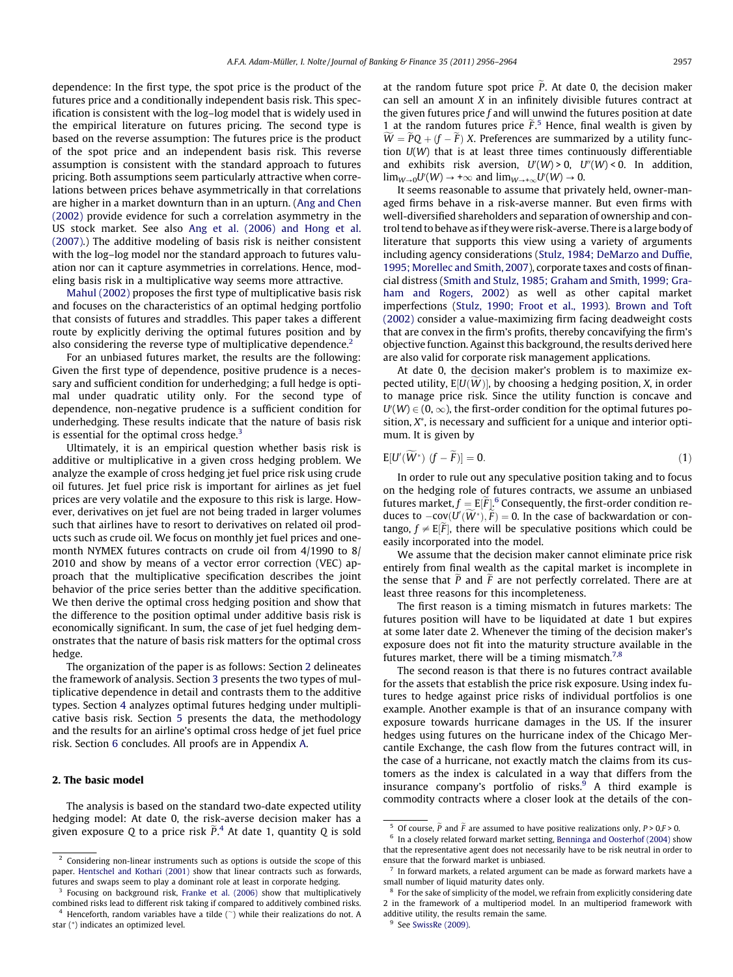<span id="page-1-0"></span>dependence: In the first type, the spot price is the product of the futures price and a conditionally independent basis risk. This specification is consistent with the log–log model that is widely used in the empirical literature on futures pricing. The second type is based on the reverse assumption: The futures price is the product of the spot price and an independent basis risk. This reverse assumption is consistent with the standard approach to futures pricing. Both assumptions seem particularly attractive when correlations between prices behave asymmetrically in that correlations are higher in a market downturn than in an upturn. [\(Ang and Chen](#page-8-0) [\(2002\)](#page-8-0) provide evidence for such a correlation asymmetry in the US stock market. See also [Ang et al. \(2006\) and Hong et al.](#page-8-0) [\(2007\)](#page-8-0).) The additive modeling of basis risk is neither consistent with the log–log model nor the standard approach to futures valuation nor can it capture asymmetries in correlations. Hence, modeling basis risk in a multiplicative way seems more attractive.

[Mahul \(2002\)](#page-8-0) proposes the first type of multiplicative basis risk and focuses on the characteristics of an optimal hedging portfolio that consists of futures and straddles. This paper takes a different route by explicitly deriving the optimal futures position and by also considering the reverse type of multiplicative dependence.<sup>2</sup>

For an unbiased futures market, the results are the following: Given the first type of dependence, positive prudence is a necessary and sufficient condition for underhedging; a full hedge is optimal under quadratic utility only. For the second type of dependence, non-negative prudence is a sufficient condition for underhedging. These results indicate that the nature of basis risk is essential for the optimal cross hedge. $3$ 

Ultimately, it is an empirical question whether basis risk is additive or multiplicative in a given cross hedging problem. We analyze the example of cross hedging jet fuel price risk using crude oil futures. Jet fuel price risk is important for airlines as jet fuel prices are very volatile and the exposure to this risk is large. However, derivatives on jet fuel are not being traded in larger volumes such that airlines have to resort to derivatives on related oil products such as crude oil. We focus on monthly jet fuel prices and onemonth NYMEX futures contracts on crude oil from 4/1990 to 8/ 2010 and show by means of a vector error correction (VEC) approach that the multiplicative specification describes the joint behavior of the price series better than the additive specification. We then derive the optimal cross hedging position and show that the difference to the position optimal under additive basis risk is economically significant. In sum, the case of jet fuel hedging demonstrates that the nature of basis risk matters for the optimal cross hedge.

The organization of the paper is as follows: Section 2 delineates the framework of analysis. Section [3](#page-2-0) presents the two types of multiplicative dependence in detail and contrasts them to the additive types. Section [4](#page-3-0) analyzes optimal futures hedging under multiplicative basis risk. Section [5](#page-4-0) presents the data, the methodology and the results for an airline's optimal cross hedge of jet fuel price risk. Section [6](#page-6-0) concludes. All proofs are in Appendix [A.](#page-7-0)

## 2. The basic model

The analysis is based on the standard two-date expected utility hedging model: At date 0, the risk-averse decision maker has a given exposure Q to a price risk  $\widetilde{P}.^4$  At date 1, quantity Q is sold

at the random future spot price  $\tilde{P}$ . At date 0, the decision maker can sell an amount X in an infinitely divisible futures contract at the given futures price f and will unwind the futures position at date 1 at the random futures price  $\tilde{F}$ .<sup>5</sup> Hence, final wealth is given by  $W = PQ + (f - F)X$ . Preferences are summarized by a utility function  $U(W)$  that is at least three times continuously differentiable and exhibits risk aversion,  $U'(W) > 0$ ,  $U''(W) < 0$ . In addition,  $\lim_{W\to 0} U'(W) \to +\infty$  and  $\lim_{W\to +\infty} U'(W) \to 0$ .

It seems reasonable to assume that privately held, owner-managed firms behave in a risk-averse manner. But even firms with well-diversified shareholders and separation of ownership and control tend to behave as if they were risk-averse. There is a large body of literature that supports this view using a variety of arguments including agency considerations [\(Stulz, 1984; DeMarzo and Duffie,](#page-8-0) [1995; Morellec and Smith, 2007\)](#page-8-0), corporate taxes and costs of financial distress ([Smith and Stulz, 1985; Graham and Smith, 1999; Gra](#page-8-0)[ham and Rogers, 2002\)](#page-8-0) as well as other capital market imperfections ([Stulz, 1990; Froot et al., 1993](#page-8-0)). [Brown and Toft](#page-8-0) [\(2002\)](#page-8-0) consider a value-maximizing firm facing deadweight costs that are convex in the firm's profits, thereby concavifying the firm's objective function. Against this background, the results derived here are also valid for corporate risk management applications.

At date 0, the decision maker's problem is to maximize expected utility,  $E[U(W)]$ , by choosing a hedging position, X, in order to manage price risk. Since the utility function is concave and  $U^{\prime}(W)\in$  (0,  $\infty$ ), the first-order condition for the optimal futures position,  $X^*$ , is necessary and sufficient for a unique and interior optimum. It is given by

$$
E[U'(W^*) (f - \tilde{F})] = 0. \tag{1}
$$

In order to rule out any speculative position taking and to focus on the hedging role of futures contracts, we assume an unbiased futures market,  $f = E[\widetilde{F}]$ .  $^6$  Consequently, the first-order condition reduces to  $-cov(U(W^*), F) = 0$ . In the case of backwardation or contango,  $f \neq E[\tilde{F}]$ , there will be speculative positions which could be easily incorporated into the model.

We assume that the decision maker cannot eliminate price risk entirely from final wealth as the capital market is incomplete in the sense that  $\tilde{P}$  and  $\tilde{F}$  are not perfectly correlated. There are at least three reasons for this incompleteness.

The first reason is a timing mismatch in futures markets: The futures position will have to be liquidated at date 1 but expires at some later date 2. Whenever the timing of the decision maker's exposure does not fit into the maturity structure available in the futures market, there will be a timing mismatch. $7,8$ 

The second reason is that there is no futures contract available for the assets that establish the price risk exposure. Using index futures to hedge against price risks of individual portfolios is one example. Another example is that of an insurance company with exposure towards hurricane damages in the US. If the insurer hedges using futures on the hurricane index of the Chicago Mercantile Exchange, the cash flow from the futures contract will, in the case of a hurricane, not exactly match the claims from its customers as the index is calculated in a way that differs from the insurance company's portfolio of risks. $9$  A third example is commodity contracts where a closer look at the details of the con-

 $<sup>2</sup>$  Considering non-linear instruments such as options is outside the scope of this</sup> paper. [Hentschel and Kothari \(2001\)](#page-8-0) show that linear contracts such as forwards, futures and swaps seem to play a dominant role at least in corporate hedging.

<sup>3</sup> Focusing on background risk, [Franke et al. \(2006\)](#page-8-0) show that multiplicatively combined risks lead to different risk taking if compared to additively combined risks. <sup>4</sup> Henceforth, random variables have a tilde  $(\tilde{\ })$  while their realizations do not. A

star (<sup>⁄</sup> ) indicates an optimized level.

<sup>&</sup>lt;sup>5</sup> Of course,  $\tilde{P}$  and  $\tilde{F}$  are assumed to have positive realizations only,  $P > 0, F > 0$ .

<sup>6</sup> In a closely related forward market setting, [Benninga and Oosterhof \(2004\)](#page-8-0) show that the representative agent does not necessarily have to be risk neutral in order to ensure that the forward market is unbiased.

 $7\,$  In forward markets, a related argument can be made as forward markets have a small number of liquid maturity dates only.

<sup>8</sup> For the sake of simplicity of the model, we refrain from explicitly considering date 2 in the framework of a multiperiod model. In an multiperiod framework with additive utility, the results remain the same.

<sup>&</sup>lt;sup>9</sup> See [SwissRe \(2009\).](#page-8-0)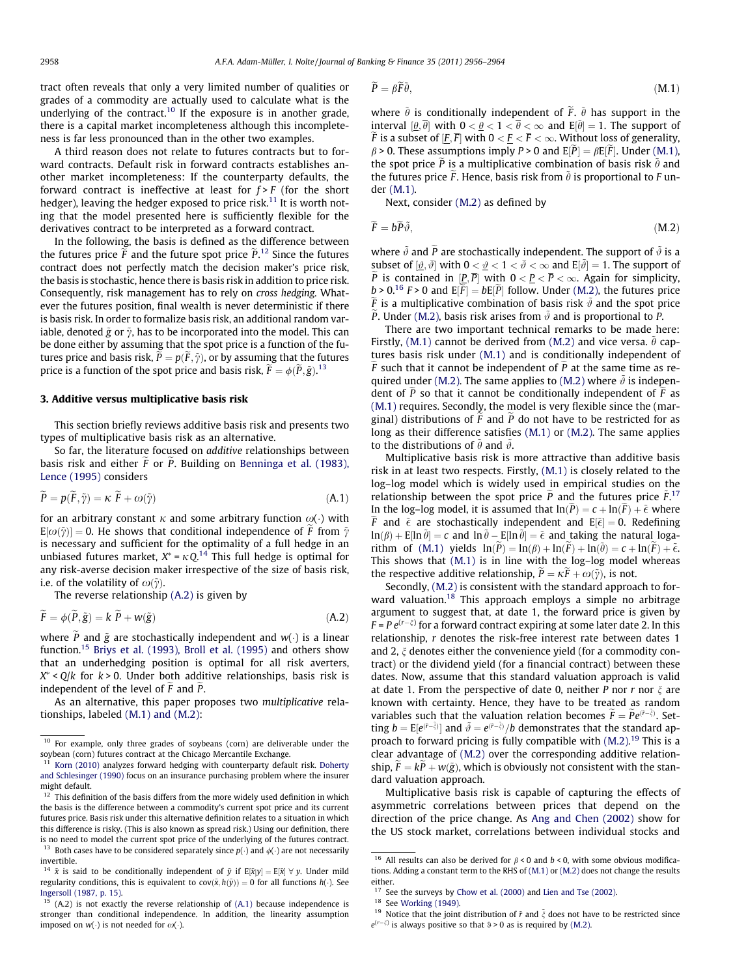<span id="page-2-0"></span>tract often reveals that only a very limited number of qualities or grades of a commodity are actually used to calculate what is the underlying of the contract.<sup>10</sup> If the exposure is in another grade, there is a capital market incompleteness although this incompleteness is far less pronounced than in the other two examples.

A third reason does not relate to futures contracts but to forward contracts. Default risk in forward contracts establishes another market incompleteness: If the counterparty defaults, the forward contract is ineffective at least for  $f > F$  (for the short hedger), leaving the hedger exposed to price risk.<sup>11</sup> It is worth noting that the model presented here is sufficiently flexible for the derivatives contract to be interpreted as a forward contract.

In the following, the basis is defined as the difference between the futures price  $\widetilde{F}$  and the future spot price  $\widetilde{P}$ .<sup>12</sup> Since the futures contract does not perfectly match the decision maker's price risk, the basis is stochastic, hence there is basis risk in addition to price risk. Consequently, risk management has to rely on cross hedging. Whatever the futures position, final wealth is never deterministic if there is basis risk. In order to formalize basis risk, an additional random variable, denoted  $\tilde{\text{g}}$  or  $\tilde{\gamma}$ , has to be incorporated into the model. This can be done either by assuming that the spot price is a function of the futures price and basis risk,  $P = p(F, \tilde{\gamma})$ , or by assuming that the futures price is a function of the spot price and basis risk,  $\widetilde{F} = \phi(\widetilde{P}, \widetilde{g})$ .<sup>13</sup>

#### 3. Additive versus multiplicative basis risk

This section briefly reviews additive basis risk and presents two types of multiplicative basis risk as an alternative.

So far, the literature focused on additive relationships between basis risk and either  $F$  or  $P$ . Building on [Benninga et al. \(1983\),](#page-8-0) [Lence \(1995\)](#page-8-0) considers

$$
\widetilde{P} = p(\widetilde{F}, \widetilde{\gamma}) = \kappa \ \widetilde{F} + \omega(\widetilde{\gamma}) \tag{A.1}
$$

for an arbitrary constant  $\kappa$  and some arbitrary function  $\omega(\cdot)$  with  ${\tt E}[\omega(\tilde{\bf y})]=0.$  He shows that conditional independence of  $\tilde{F}$  from  $\tilde{\bf y}$ is necessary and sufficient for the optimality of a full hedge in an unbiased futures market,  $X^* = \kappa Q$ .<sup>14</sup> This full hedge is optimal for any risk-averse decision maker irrespective of the size of basis risk, i.e. of the volatility of  $\omega(\tilde{\gamma})$ .

The reverse relationship (A.2) is given by

$$
\ddot{F} = \phi(P, \tilde{g}) = k \dot{P} + w(\tilde{g}) \tag{A.2}
$$

where  $\tilde{P}$  and  $\tilde{g}$  are stochastically independent and  $w(\cdot)$  is a linear function.15 [Briys et al. \(1993\), Broll et al. \(1995\)](#page-8-0) and others show that an underhedging position is optimal for all risk averters,  $X^*$  < Q/k for  $k > 0$ . Under both additive relationships, basis risk is independent of the level of  $F$  and  $P$ .

As an alternative, this paper proposes two multiplicative relationships, labeled (M.1) and (M.2):

<sup>13</sup> Both cases have to be considered separately since  $p(\cdot)$  and  $\phi(\cdot)$  are not necessarily invertible.

$$
\widetilde{P} = \beta \widetilde{F} \widetilde{\theta},\tag{M.1}
$$

where  $\tilde{\theta}$  is conditionally independent of  $\tilde{F}$ .  $\tilde{\theta}$  has support in the interval  $[\underline{\theta}, \overline{\theta}]$  with  $0 < \underline{\theta} < 1 < \overline{\theta} < \infty$  and  $E[\tilde{\theta}] = 1$ . The support of  $\widetilde{F}$  is a subset of  $[\underline{F}, \overline{F}]$  with  $0 < \underline{F} < \overline{F} < \infty$ . Without loss of generality,  $\beta$  > 0. These assumptions imply P > 0 and  $E[\tilde{P}] = \beta E[\tilde{F}]$ . Under (M.1), the spot price  $\tilde{P}$  is a multiplicative combination of basis risk  $\tilde{\theta}$  and the futures price  $\tilde{F}$ . Hence, basis risk from  $\tilde{\theta}$  is proportional to F under (M.1).

Next, consider (M.2) as defined by

$$
\widetilde{F} = b\widetilde{P}\widetilde{\vartheta},\tag{M.2}
$$

where  $\tilde{\vartheta}$  and  $\tilde{P}$  are stochastically independent. The support of  $\tilde{\vartheta}$  is a subset of  $[\underline{\vartheta}, \bar{\vartheta}]$  with  $0 < \underline{\vartheta} < 1 < \bar{\vartheta} < \infty$  and  $E[\tilde{\vartheta}] = 1$ . The support of  $\widetilde{P}$  is contained in  $[\underline{P}, \overline{P}]$  with  $0 < \underline{P} < \overline{P} < \infty$ . Again for simplicity,  $b > 0$ .<sup>16</sup> F > 0 and  $E[\widetilde{F}] = bE[\widetilde{P}]$  follow. Under (M.2), the futures price  $\tilde{F}$  is a multiplicative combination of basis risk  $\tilde{\vartheta}$  and the spot price  $\widetilde{P}$ . Under (M.2), basis risk arises from  $\widetilde{\vartheta}$  and is proportional to P.

There are two important technical remarks to be made here: Firstly, (M.1) cannot be derived from (M.2) and vice versa,  $\tilde{\theta}$  captures basis risk under (M.1) and is conditionally independent of  $\widetilde{F}$  such that it cannot be independent of  $\widetilde{P}$  at the same time as required under (M.2). The same applies to (M.2) where  $\tilde{\vartheta}$  is independent of  $\tilde{P}$  so that it cannot be conditionally independent of  $\tilde{F}$  as (M.1) requires. Secondly, the model is very flexible since the (marginal) distributions of  $F$  and  $P$  do not have to be restricted for as long as their difference satisfies (M.1) or (M.2). The same applies to the distributions of  $\tilde{\theta}$  and  $\tilde{\vartheta}$ .

Multiplicative basis risk is more attractive than additive basis risk in at least two respects. Firstly, (M.1) is closely related to the log–log model which is widely used in empirical studies on the relationship between the spot price  $\tilde{P}$  and the futures price  $\tilde{F}$ <sup>17</sup> In the log-log model, it is assumed that  $\ln(\tilde{P}) = c + \ln(\tilde{F}) + \tilde{\epsilon}$  where  $\widetilde{F}$  and  $\widetilde{\epsilon}$  are stochastically independent and E $[\widetilde{\epsilon}]=0$ . Redefining  $\ln(\beta) + E[\ln \tilde{\theta}] = c$  and  $\ln \tilde{\theta} - E[\ln \tilde{\theta}] = \tilde{\epsilon}$  and taking the natural logarithm of  $(M.1)$  yields  $ln(\tilde{P}) = ln(\beta) + ln(\tilde{F}) + ln(\tilde{\theta}) = c + ln(\tilde{F}) + \tilde{\epsilon}$ . This shows that (M.1) is in line with the log–log model whereas the respective additive relationship,  $\tilde{P} = \kappa \tilde{F} + \omega(\tilde{\gamma})$ , is not.

Secondly, (M.2) is consistent with the standard approach to forward valuation.<sup>18</sup> This approach employs a simple no arbitrage argument to suggest that, at date 1, the forward price is given by  $F = P e^{(r - \xi)}$  for a forward contract expiring at some later date 2. In this relationship, r denotes the risk-free interest rate between dates 1 and 2,  $\xi$  denotes either the convenience yield (for a commodity contract) or the dividend yield (for a financial contract) between these dates. Now, assume that this standard valuation approach is valid at date 1. From the perspective of date 0, neither P nor r nor  $\xi$  are known with certainty. Hence, they have to be treated as random variables such that the valuation relation becomes  $\widetilde{F} = \widetilde{P}e^{(\widetilde{r}-\widetilde{\xi})}$ . Setting  $b = E[e^{(\bar{r}-\bar{\xi})}]$  and  $\tilde{\vartheta} = e^{(\bar{r}-\bar{\xi})}/b$  demonstrates that the standard approach to forward pricing is fully compatible with  $(M.2)$ .<sup>19</sup> This is a clear advantage of (M.2) over the corresponding additive relationship,  $\tilde{F} = k\tilde{P} + w(\tilde{g})$ , which is obviously not consistent with the standard valuation approach.

Multiplicative basis risk is capable of capturing the effects of asymmetric correlations between prices that depend on the direction of the price change. As [Ang and Chen \(2002\)](#page-8-0) show for the US stock market, correlations between individual stocks and

<sup>&</sup>lt;sup>10</sup> For example, only three grades of soybeans (corn) are deliverable under the soybean (corn) futures contract at the Chicago Mercantile Exchange.

 $11$  [Korn \(2010\)](#page-8-0) analyzes forward hedging with counterparty default risk. [Doherty](#page-8-0) [and Schlesinger \(1990\)](#page-8-0) focus on an insurance purchasing problem where the insurer might default.

 $12$  This definition of the basis differs from the more widely used definition in which the basis is the difference between a commodity's current spot price and its current futures price. Basis risk under this alternative definition relates to a situation in which this difference is risky. (This is also known as spread risk.) Using our definition, there is no need to model the current spot price of the underlying of the futures contract.

<sup>&</sup>lt;sup>14</sup>  $\tilde{x}$  is said to be conditionally independent of  $\tilde{y}$  if  $E[\tilde{x}|y] = E[\tilde{x}] \forall y$ . Under mild regularity conditions, this is equivalent to  $cov(\tilde{x}, h(\tilde{y})) = 0$  for all functions  $h(\cdot)$ . See [Ingersoll \(1987, p. 15\)](#page-8-0).

 $(A.2)$  is not exactly the reverse relationship of  $(A.1)$  because independence is stronger than conditional independence. In addition, the linearity assumption imposed on  $w(\cdot)$  is not needed for  $\omega(\cdot)$ .

<sup>&</sup>lt;sup>16</sup> All results can also be derived for  $\beta$  < 0 and  $b$  < 0, with some obvious modifications. Adding a constant term to the RHS of (M.1) or (M.2) does not change the results either.

<sup>&</sup>lt;sup>17</sup> See the surveys by [Chow et al. \(2000\)](#page-8-0) and [Lien and Tse \(2002\)](#page-8-0).

<sup>&</sup>lt;sup>18</sup> See [Working \(1949\).](#page-8-0)

<sup>&</sup>lt;sup>19</sup> Notice that the joint distribution of  $\tilde{r}$  and  $\tilde{\xi}$  does not have to be restricted since  $e^{(r-\xi)}$  is always positive so that  $\vartheta > 0$  as is required by (M.2).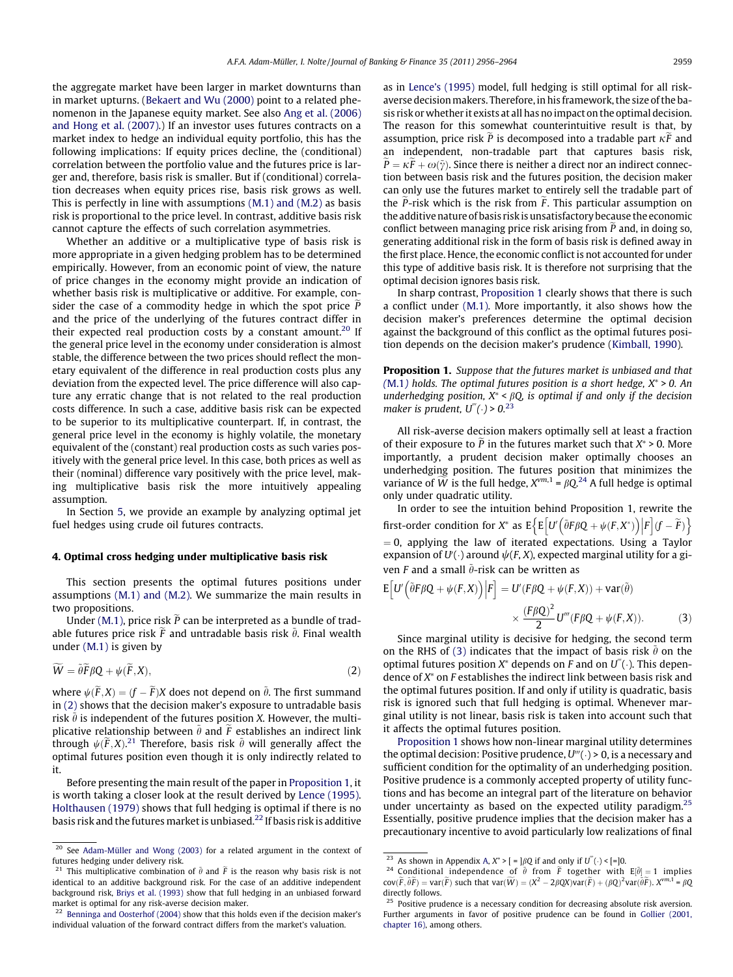<span id="page-3-0"></span>the aggregate market have been larger in market downturns than in market upturns. ([Bekaert and Wu \(2000\)](#page-8-0) point to a related phenomenon in the Japanese equity market. See also [Ang et al. \(2006\)](#page-8-0) [and Hong et al. \(2007\).](#page-8-0)) If an investor uses futures contracts on a market index to hedge an individual equity portfolio, this has the following implications: If equity prices decline, the (conditional) correlation between the portfolio value and the futures price is larger and, therefore, basis risk is smaller. But if (conditional) correlation decreases when equity prices rise, basis risk grows as well. This is perfectly in line with assumptions [\(M.1\) and \(M.2\)](#page-2-0) as basis risk is proportional to the price level. In contrast, additive basis risk cannot capture the effects of such correlation asymmetries.

Whether an additive or a multiplicative type of basis risk is more appropriate in a given hedging problem has to be determined empirically. However, from an economic point of view, the nature of price changes in the economy might provide an indication of whether basis risk is multiplicative or additive. For example, consider the case of a commodity hedge in which the spot price  $\tilde{P}$ and the price of the underlying of the futures contract differ in their expected real production costs by a constant amount.<sup>20</sup> If the general price level in the economy under consideration is almost stable, the difference between the two prices should reflect the monetary equivalent of the difference in real production costs plus any deviation from the expected level. The price difference will also capture any erratic change that is not related to the real production costs difference. In such a case, additive basis risk can be expected to be superior to its multiplicative counterpart. If, in contrast, the general price level in the economy is highly volatile, the monetary equivalent of the (constant) real production costs as such varies positively with the general price level. In this case, both prices as well as their (nominal) difference vary positively with the price level, making multiplicative basis risk the more intuitively appealing assumption.

In Section [5](#page-4-0), we provide an example by analyzing optimal jet fuel hedges using crude oil futures contracts.

#### 4. Optimal cross hedging under multiplicative basis risk

This section presents the optimal futures positions under assumptions [\(M.1\) and \(M.2\)](#page-2-0). We summarize the main results in two propositions.

Under [\(M.1\)](#page-2-0), price risk  $\tilde{P}$  can be interpreted as a bundle of tradable futures price risk F and untradable basis risk  $\theta$ . Final wealth under [\(M.1\)](#page-2-0) is given by

$$
\widetilde{W} = \widetilde{\theta} \widetilde{F} \beta Q + \psi(\widetilde{F}, X), \tag{2}
$$

where  $\psi(\widetilde{F},X) = (f - \widetilde{F})X$  does not depend on  $\widetilde{\theta}$ . The first summand in (2) shows that the decision maker's exposure to untradable basis risk  $\tilde{\theta}$  is independent of the futures position X. However, the multiplicative relationship between  $\tilde{\theta}$  and  $\tilde{F}$  establishes an indirect link through  $\psi(\widetilde{F},X)$ .<sup>21</sup> Therefore, basis risk  $\widetilde{\theta}$  will generally affect the optimal futures position even though it is only indirectly related to it.

Before presenting the main result of the paper in Proposition 1, it is worth taking a closer look at the result derived by [Lence \(1995\).](#page-8-0) [Holthausen \(1979\)](#page-8-0) shows that full hedging is optimal if there is no basis risk and the futures market is unbiased.<sup>22</sup> If basis risk is additive as in [Lence's \(1995\)](#page-8-0) model, full hedging is still optimal for all riskaverse decision makers. Therefore, in his framework, the size of the basis risk or whether it exists at all has no impact on the optimal decision. The reason for this somewhat counterintuitive result is that, by assumption, price risk  $\tilde{P}$  is decomposed into a tradable part  $\kappa \tilde{F}$  and an independent, non-tradable part that captures basis risk,  $\widetilde{P} = \kappa \widetilde{F} + \omega(\widetilde{\gamma}).$  Since there is neither a direct nor an indirect connection between basis risk and the futures position, the decision maker can only use the futures market to entirely sell the tradable part of the  $\tilde{P}$ -risk which is the risk from  $\tilde{F}$ . This particular assumption on the additive nature of basis risk is unsatisfactory because the economic conflict between managing price risk arising from  $\tilde{P}$  and, in doing so, generating additional risk in the form of basis risk is defined away in the first place. Hence, the economic conflict is not accounted for under this type of additive basis risk. It is therefore not surprising that the optimal decision ignores basis risk.

In sharp contrast, Proposition 1 clearly shows that there is such a conflict under [\(M.1\).](#page-2-0) More importantly, it also shows how the decision maker's preferences determine the optimal decision against the background of this conflict as the optimal futures position depends on the decision maker's prudence ([Kimball, 1990](#page-8-0)).

Proposition 1. Suppose that the futures market is unbiased and that ([M.1](#page-2-0)) holds. The optimal futures position is a short hedge,  $X^* > 0$ . An underhedging position,  $X^* < \beta Q$ , is optimal if and only if the decision maker is prudent,  $U'''(.) > 0.23$ 

All risk-averse decision makers optimally sell at least a fraction of their exposure to P in the futures market such that  $X^* > 0$ . More importantly, a prudent decision maker optimally chooses an underhedging position. The futures position that minimizes the variance of  $\widetilde{W}$  is the full hedge,  $X^{vm,1}$  =  $\beta Q^{24}$  A full hedge is optimal only under quadratic utility.

In order to see the intuition behind Proposition 1, rewrite the first-order condition for X<sup>\*</sup> as  $E\{E\left[U'\left(\tilde{\theta}F\betaQ+\psi(F,X^*)\right)|F\right](f-\tilde{F})\}$  $= 0$ , applying the law of iterated expectations. Using a Taylor expansion of  $U'(\cdot)$  around  $\psi(F,X)$ , expected marginal utility for a given  $F$  and a small  $\tilde{\theta}$ -risk can be written as

$$
E[U'(\tilde{\theta}F\beta Q + \psi(F,X))|F] = U'(F\beta Q + \psi(F,X)) + \text{var}(\tilde{\theta})
$$

$$
\times \frac{(F\beta Q)^2}{2}U'''(F\beta Q + \psi(F,X)).
$$
 (3)

Since marginal utility is decisive for hedging, the second term on the RHS of (3) indicates that the impact of basis risk  $\tilde{\theta}$  on the optimal futures position  $X^*$  depends on F and on  $U^{''}(\cdot)$ . This dependence of  $X^*$  on  $F$  establishes the indirect link between basis risk and the optimal futures position. If and only if utility is quadratic, basis risk is ignored such that full hedging is optimal. Whenever marginal utility is not linear, basis risk is taken into account such that it affects the optimal futures position.

Proposition 1 shows how non-linear marginal utility determines the optimal decision: Positive prudence,  $U'''(.) > 0$ , is a necessary and sufficient condition for the optimality of an underhedging position. Positive prudence is a commonly accepted property of utility functions and has become an integral part of the literature on behavior under uncertainty as based on the expected utility paradigm.<sup>25</sup> Essentially, positive prudence implies that the decision maker has a precautionary incentive to avoid particularly low realizations of final

<sup>&</sup>lt;sup>20</sup> See [Adam-Müller and Wong \(2003\)](#page-8-0) for a related argument in the context of futures hedging under delivery risk.

<sup>&</sup>lt;sup>21</sup> This multiplicative combination of  $\tilde{\theta}$  and  $\tilde{F}$  is the reason why basis risk is not identical to an additive background risk. For the case of an additive independent background risk, [Briys et al. \(1993\)](#page-8-0) show that full hedging in an unbiased forward market is optimal for any risk-averse decision maker.

<sup>&</sup>lt;sup>22</sup> [Benninga and Oosterhof \(2004\)](#page-8-0) show that this holds even if the decision maker's individual valuation of the forward contract differs from the market's valuation.

<sup>&</sup>lt;sup>23</sup> As shown in Appendix [A,](#page-7-0)  $X^*$  >  $[$  =  $]\beta Q$  if and only if  $U''(.)$  <  $[$ = $]0$ .

<sup>&</sup>lt;sup>24</sup> Conditional independence of  $\tilde{\theta}$  from  $\tilde{F}$  together with  $E[\tilde{\theta}] = 1$  implies  $cov(\widetilde{F}, \widetilde{\theta}\widetilde{F}) = var(\widetilde{F})$  such that  $var(\widetilde{W}) = (X^2 - 2\beta QX)var(\widetilde{F}) + (\beta Q)^2 var(\widetilde{\theta}\widetilde{F})$ .  $X^{vm,1} = \beta Q$ directly follows.

 $25$  Positive prudence is a necessary condition for decreasing absolute risk aversion. Further arguments in favor of positive prudence can be found in [Gollier \(2001,](#page-8-0) [chapter 16\),](#page-8-0) among others.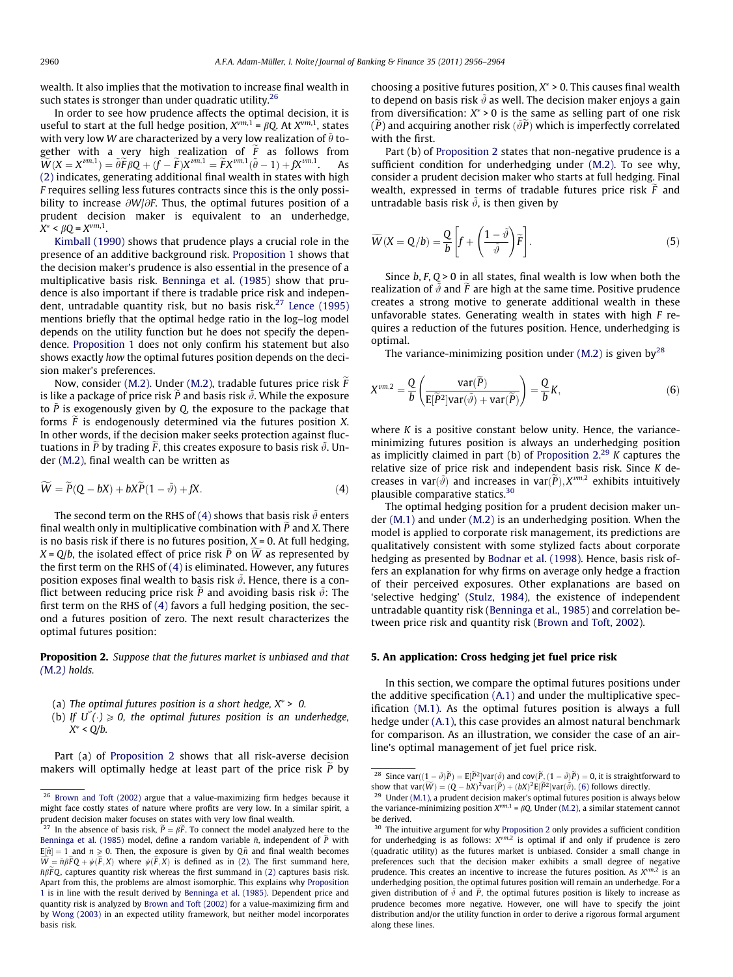<span id="page-4-0"></span>wealth. It also implies that the motivation to increase final wealth in such states is stronger than under quadratic utility.<sup>26</sup>

In order to see how prudence affects the optimal decision, it is useful to start at the full hedge position,  $X^{vm,1} = \beta Q$ . At  $X^{vm,1}$ , states with very low W are characterized by a very low realization of  $\tilde{\theta}$  together with a very high realization of  $\widetilde{F}$  as follows from  $\widetilde{W}(X=X^{\nu m,1})=\widetilde{\theta }\widetilde{F}\beta Q+(f-\widetilde{F})X^{\nu m,1}=\widetilde{F}X^{\nu m,1}(\widetilde{\theta }-1)+f\!X^{\nu m,1}$ . As [\(2\)](#page-3-0) indicates, generating additional final wealth in states with high F requires selling less futures contracts since this is the only possibility to increase  $\partial W/\partial F$ . Thus, the optimal futures position of a prudent decision maker is equivalent to an underhedge,  $X^* < \beta Q = X^{vm,1}.$ 

[Kimball \(1990\)](#page-8-0) shows that prudence plays a crucial role in the presence of an additive background risk. [Proposition 1](#page-3-0) shows that the decision maker's prudence is also essential in the presence of a multiplicative basis risk. [Benninga et al. \(1985\)](#page-8-0) show that prudence is also important if there is tradable price risk and indepen-dent, untradable quantity risk, but no basis risk.<sup>27</sup> [Lence \(1995\)](#page-8-0) mentions briefly that the optimal hedge ratio in the log–log model depends on the utility function but he does not specify the dependence. [Proposition 1](#page-3-0) does not only confirm his statement but also shows exactly how the optimal futures position depends on the decision maker's preferences.

Now, consider [\(M.2\).](#page-2-0) Under [\(M.2\)](#page-2-0), tradable futures price risk  $F$ is like a package of price risk P and basis risk  $\tilde{\vartheta}$ . While the exposure to  $\tilde{P}$  is exogenously given by Q, the exposure to the package that forms  $\tilde{F}$  is endogenously determined via the futures position X. In other words, if the decision maker seeks protection against fluctuations in  $\tilde{P}$  by trading  $\tilde{F}$ , this creates exposure to basis risk  $\tilde{\vartheta}$ . Under [\(M.2\)](#page-2-0), final wealth can be written as

$$
\widetilde{W} = \widetilde{P}(Q - bX) + bX\widetilde{P}(1 - \widetilde{\vartheta}) + fX.
$$
\n(4)

The second term on the RHS of (4) shows that basis risk  $\tilde{\vartheta}$  enters final wealth only in multiplicative combination with  $\tilde{P}$  and X. There is no basis risk if there is no futures position,  $X = 0$ . At full hedging,  $X = Q/b$ , the isolated effect of price risk P on W as represented by the first term on the RHS of (4) is eliminated. However, any futures position exposes final wealth to basis risk  $\tilde{\vartheta}$ . Hence, there is a conflict between reducing price risk P and avoiding basis risk  $\tilde{\vartheta}$ : The first term on the RHS of (4) favors a full hedging position, the second a futures position of zero. The next result characterizes the optimal futures position:

Proposition 2. Suppose that the futures market is unbiased and that ([M.2](#page-2-0)) holds.

- (a) The optimal futures position is a short hedge,  $X^* > 0$ .
- (b) If  $U''(.) \ge 0$ , the optimal futures position is an underhedge,  $X^*$  < Q/b.

Part (a) of Proposition 2 shows that all risk-averse decision makers will optimally hedge at least part of the price risk  $\tilde{P}$  by

choosing a positive futures position,  $X^* > 0$ . This causes final wealth to depend on basis risk  $\tilde{\vartheta}$  as well. The decision maker enjoys a gain from diversification:  $X^* > 0$  is the same as selling part of one risk  $(\tilde{P})$  and acquiring another risk  $(\tilde{\vartheta}\tilde{P})$  which is imperfectly correlated with the first.

Part (b) of Proposition 2 states that non-negative prudence is a sufficient condition for underhedging under [\(M.2\).](#page-2-0) To see why, consider a prudent decision maker who starts at full hedging. Final wealth, expressed in terms of tradable futures price risk  $\tilde{F}$  and untradable basis risk  $\tilde{\vartheta}$ , is then given by

$$
\widetilde{W}(X = Q/b) = \frac{Q}{b} \left[ f + \left( \frac{1 - \tilde{\vartheta}}{\tilde{\vartheta}} \right) \widetilde{F} \right].
$$
\n(5)

Since  $b, F, Q > 0$  in all states, final wealth is low when both the realization of  $\tilde{\vartheta}$  and  $\tilde{F}$  are high at the same time. Positive prudence creates a strong motive to generate additional wealth in these unfavorable states. Generating wealth in states with high  $F$  requires a reduction of the futures position. Hence, underhedging is optimal.

The variance-minimizing position under  $(M.2)$  is given by<sup>28</sup>

$$
X^{vm,2} = \frac{Q}{b} \left( \frac{\text{var}(\widetilde{P})}{E[\widetilde{P}^2] \text{var}(\widetilde{\vartheta}) + \text{var}(\widetilde{P})} \right) = \frac{Q}{b} K,\tag{6}
$$

where  $K$  is a positive constant below unity. Hence, the varianceminimizing futures position is always an underhedging position as implicitly claimed in part (b) of Proposition  $2^{29}$  K captures the relative size of price risk and independent basis risk. Since K decreases in var $(\tilde{\vartheta})$  and increases in var $(\widetilde{P}), X^{\nu m,2}$  exhibits intuitively plausible comparative statics.30

The optimal hedging position for a prudent decision maker under [\(M.1\)](#page-2-0) and under [\(M.2\)](#page-2-0) is an underhedging position. When the model is applied to corporate risk management, its predictions are qualitatively consistent with some stylized facts about corporate hedging as presented by [Bodnar et al. \(1998\)](#page-8-0). Hence, basis risk offers an explanation for why firms on average only hedge a fraction of their perceived exposures. Other explanations are based on 'selective hedging' [\(Stulz, 1984\)](#page-8-0), the existence of independent untradable quantity risk ([Benninga et al., 1985](#page-8-0)) and correlation between price risk and quantity risk ([Brown and Toft, 2002](#page-8-0)).

#### 5. An application: Cross hedging jet fuel price risk

In this section, we compare the optimal futures positions under the additive specification [\(A.1\)](#page-2-0) and under the multiplicative specification [\(M.1\).](#page-2-0) As the optimal futures position is always a full hedge under [\(A.1\)](#page-2-0), this case provides an almost natural benchmark for comparison. As an illustration, we consider the case of an airline's optimal management of jet fuel price risk.

<sup>&</sup>lt;sup>26</sup> [Brown and Toft \(2002\)](#page-8-0) argue that a value-maximizing firm hedges because it might face costly states of nature where profits are very low. In a similar spirit, a prudent decision maker focuses on states with very low final wealth.

<sup>&</sup>lt;sup>27</sup> In the absence of basis risk,  $\tilde{P} = \beta \tilde{F}$ . To connect the model analyzed here to the [Benninga et al. \(1985\)](#page-8-0) model, define a random variable  $\tilde{n}$ , independent of  $\tilde{P}$  with  $E[\tilde{n}] = 1$  and  $n \ge 0$ . Then, the exposure is given by  $Q\tilde{n}$  and final wealth becomes  $W = \tilde{n}\beta FQ + \psi(F, X)$  where  $\psi(F, X)$  is defined as in [\(2\)](#page-3-0). The first summand here,  $\tilde{n}\beta\tilde{F}Q$ , captures quantity risk whereas the first summand in [\(2\)](#page-3-0) captures basis risk. Apart from this, the problems are almost isomorphic. This explains why [Proposition](#page-3-0) [1](#page-3-0) is in line with the result derived by [Benninga et al. \(1985\).](#page-8-0) Dependent price and quantity risk is analyzed by [Brown and Toft \(2002\)](#page-8-0) for a value-maximizing firm and by [Wong \(2003\)](#page-8-0) in an expected utility framework, but neither model incorporates basis risk.

<sup>&</sup>lt;sup>28</sup> Since var $((1 - \tilde{\vartheta})\widetilde{P}) = E[\widetilde{P}^2]$ var $(\tilde{\vartheta})$  and cov $(\widetilde{P}, (1 - \tilde{\vartheta})\widetilde{P}) = 0$ , it is straightforward to show that  $var(\widetilde{W}) = (Q - bX)^2 var(\widetilde{P}) + (bX)^2 E[\widetilde{P}^2] var(\widetilde{\vartheta}).$  (6) follows directly.

 $29$  Under [\(M.1\)](#page-2-0), a prudent decision maker's optimal futures position is always below the variance-minimizing position  $X^{vm,1} = \beta Q$ . Under [\(M.2\)](#page-2-0), a similar statement cannot be derived.

<sup>&</sup>lt;sup>30</sup> The intuitive argument for why Proposition 2 only provides a sufficient condition for underhedging is as follows:  $X^{vm,2}$  is optimal if and only if prudence is zero (quadratic utility) as the futures market is unbiased. Consider a small change in preferences such that the decision maker exhibits a small degree of negative prudence. This creates an incentive to increase the futures position. As  $X^{vm,2}$  is an underhedging position, the optimal futures position will remain an underhedge. For a given distribution of  $\tilde{\vartheta}$  and  $\tilde{P}$ , the optimal futures position is likely to increase as prudence becomes more negative. However, one will have to specify the joint distribution and/or the utility function in order to derive a rigorous formal argument along these lines.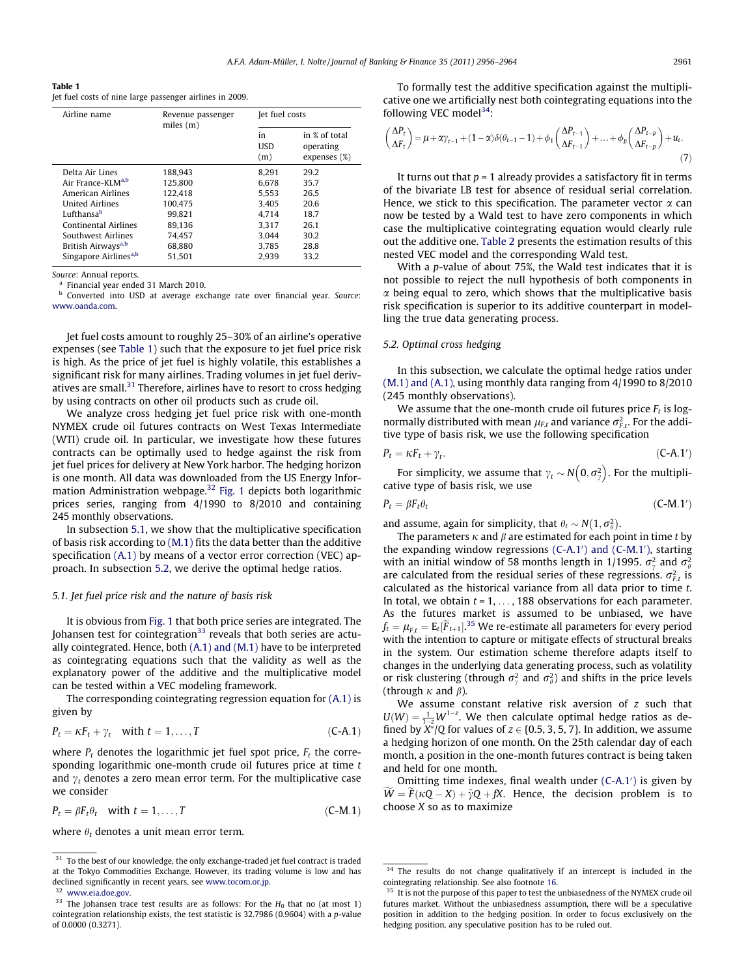<span id="page-5-0"></span>

| Table 1                                                  |  |  |  |
|----------------------------------------------------------|--|--|--|
| Jet fuel costs of nine large passenger airlines in 2009. |  |  |  |

| Airline name                      | Revenue passenger<br>miles(m) |                   | Jet fuel costs                             |  |  |
|-----------------------------------|-------------------------------|-------------------|--------------------------------------------|--|--|
|                                   |                               | in<br>USD.<br>(m) | in % of total<br>operating<br>expenses (%) |  |  |
| Delta Air Lines                   | 188.943                       | 8.291             | 29.2                                       |  |  |
| Air France-KLM <sup>a,b</sup>     | 125.800                       | 6.678             | 35.7                                       |  |  |
| American Airlines                 | 122.418                       | 5.553             | 26.5                                       |  |  |
| <b>United Airlines</b>            | 100.475                       | 3.405             | 20.6                                       |  |  |
| Lufthansab                        | 99.821                        | 4.714             | 18.7                                       |  |  |
| <b>Continental Airlines</b>       | 89.136                        | 3.317             | 26.1                                       |  |  |
| Southwest Airlines                | 74.457                        | 3.044             | 30.2                                       |  |  |
| British Airways <sup>a,b</sup>    | 68.880                        | 3.785             | 28.8                                       |  |  |
| Singapore Airlines <sup>a,b</sup> | 51.501                        | 2.939             | 33.2                                       |  |  |

Source: Annual reports.

<sup>a</sup> Financial year ended 31 March 2010.

Converted into USD at average exchange rate over financial year. Source: [www.oanda.com.](http://www.oanda.com)

Jet fuel costs amount to roughly 25–30% of an airline's operative expenses (see Table 1) such that the exposure to jet fuel price risk is high. As the price of jet fuel is highly volatile, this establishes a significant risk for many airlines. Trading volumes in jet fuel derivatives are small. $31$  Therefore, airlines have to resort to cross hedging by using contracts on other oil products such as crude oil.

We analyze cross hedging jet fuel price risk with one-month NYMEX crude oil futures contracts on West Texas Intermediate (WTI) crude oil. In particular, we investigate how these futures contracts can be optimally used to hedge against the risk from jet fuel prices for delivery at New York harbor. The hedging horizon is one month. All data was downloaded from the US Energy Infor-mation Administration webpage.<sup>32</sup> [Fig. 1](#page-6-0) depicts both logarithmic prices series, ranging from 4/1990 to 8/2010 and containing 245 monthly observations.

In subsection 5.1, we show that the multiplicative specification of basis risk according to [\(M.1\)](#page-2-0) fits the data better than the additive specification [\(A.1\)](#page-2-0) by means of a vector error correction (VEC) approach. In subsection 5.2, we derive the optimal hedge ratios.

## 5.1. Jet fuel price risk and the nature of basis risk

It is obvious from [Fig. 1](#page-6-0) that both price series are integrated. The Johansen test for cointegration<sup>33</sup> reveals that both series are actually cointegrated. Hence, both  $(A.1)$  and  $(M.1)$  have to be interpreted as cointegrating equations such that the validity as well as the explanatory power of the additive and the multiplicative model can be tested within a VEC modeling framework.

The corresponding cointegrating regression equation for [\(A.1\)](#page-2-0) is given by

$$
P_t = \kappa F_t + \gamma_t \quad \text{with } t = 1, \dots, T \tag{C-A.1}
$$

where  $P_t$  denotes the logarithmic jet fuel spot price,  $F_t$  the corresponding logarithmic one-month crude oil futures price at time t and  $\gamma_t$  denotes a zero mean error term. For the multiplicative case we consider

$$
P_t = \beta F_t \theta_t \quad \text{with } t = 1, \dots, T \tag{C-M.1}
$$

where  $\theta_t$  denotes a unit mean error term.

To formally test the additive specification against the multiplicative one we artificially nest both cointegrating equations into the following VEC model $^{34}$ :

$$
\begin{pmatrix}\n\Delta P_t \\
\Delta F_t\n\end{pmatrix} = \mu + \alpha \gamma_{t-1} + (1 - \alpha)\delta(\theta_{t-1} - 1) + \phi_1 \begin{pmatrix}\n\Delta P_{t-1} \\
\Delta F_{t-1}\n\end{pmatrix} + \dots + \phi_p \begin{pmatrix}\n\Delta P_{t-p} \\
\Delta F_{t-p}\n\end{pmatrix} + u_t.
$$
\n(7)

It turns out that  $p = 1$  already provides a satisfactory fit in terms of the bivariate LB test for absence of residual serial correlation. Hence, we stick to this specification. The parameter vector  $\alpha$  can now be tested by a Wald test to have zero components in which case the multiplicative cointegrating equation would clearly rule out the additive one. [Table 2](#page-6-0) presents the estimation results of this nested VEC model and the corresponding Wald test.

With a p-value of about 75%, the Wald test indicates that it is not possible to reject the null hypothesis of both components in  $\alpha$  being equal to zero, which shows that the multiplicative basis risk specification is superior to its additive counterpart in modelling the true data generating process.

#### 5.2. Optimal cross hedging

In this subsection, we calculate the optimal hedge ratios under [\(M.1\) and \(A.1\)](#page-2-0), using monthly data ranging from 4/1990 to 8/2010 (245 monthly observations).

We assume that the one-month crude oil futures price  $F_t$  is lognormally distributed with mean  $\mu_{F,t}$  and variance  $\sigma_{F,t}^2$ . For the additive type of basis risk, we use the following specification

$$
P_t = \kappa F_t + \gamma_t. \tag{C-A.1'}
$$

For simplicity, we assume that  $\gamma_t \sim N\big(0, \sigma_{\gamma}^2\big)$  $\sigma$  $(0, \sigma_v^2)$ . For the multiplicative type of basis risk, we use

$$
P_t = \beta F_t \theta_t \tag{C-M.1'}
$$

and assume, again for simplicity, that  $\theta_t \sim N(1, \sigma_\theta^2)$ .

The parameters  $\kappa$  and  $\beta$  are estimated for each point in time t by the expanding window regressions  $(C-A.1')$  and  $(C-M.1')$ , starting with an initial window of 58 months length in 1/1995.  $\sigma_{\gamma}^2$  and  $\sigma_{\theta}^2$ are calculated from the residual series of these regressions.  $\sigma_{F,t}^2$  is calculated as the historical variance from all data prior to time t. In total, we obtain  $t = 1, \ldots, 188$  observations for each parameter. As the futures market is assumed to be unbiased, we have  $f_t = \mu_{\vec{r},t} = \mathrm{E}_t[\widetilde{F}_{t+1}]^{35}$  We re-estimate all parameters for every period with the intention to capture or mitigate effects of structural breaks in the system. Our estimation scheme therefore adapts itself to changes in the underlying data generating process, such as volatility or risk clustering (through  $\sigma_{\gamma}^2$  and  $\sigma_{\theta}^2$ ) and shifts in the price levels (through  $\kappa$  and  $\beta$ ).

We assume constant relative risk aversion of  $z$  such that  $U(W) = \frac{1}{1-z} W^{1-z}$ . We then calculate optimal hedge ratios as defined by  $X^*/Q$  for values of  $z \in \{0.5, 3, 5, 7\}$ . In addition, we assume a hedging horizon of one month. On the 25th calendar day of each month, a position in the one-month futures contract is being taken and held for one month.

Omitting time indexes, final wealth under  $(C-A.1')$  is given by  $\tilde{W} = \tilde{F}(\kappa Q - X) + \tilde{\gamma} Q + fX$ . Hence, the decision problem is to choose  $X$  so as to maximize

<sup>&</sup>lt;sup>31</sup> To the best of our knowledge, the only exchange-traded jet fuel contract is traded at the Tokyo Commodities Exchange. However, its trading volume is low and has declined significantly in recent years, see [www.tocom.or.jp.](http://www.tocom.or.jp)

<sup>32</sup> [www.eia.doe.gov](http://www.eia.doe.gov).

<sup>&</sup>lt;sup>33</sup> The Johansen trace test results are as follows: For the  $H_0$  that no (at most 1) cointegration relationship exists, the test statistic is 32.7986 (0.9604) with a p-value of 0.0000 (0.3271).

 $\frac{34}{1}$  The results do not change qualitatively if an intercept is included in the cointegrating relationship. See also footnote [16](#page-2-0).

<sup>&</sup>lt;sup>35</sup> It is not the purpose of this paper to test the unbiasedness of the NYMEX crude oil futures market. Without the unbiasedness assumption, there will be a speculative position in addition to the hedging position. In order to focus exclusively on the hedging position, any speculative position has to be ruled out.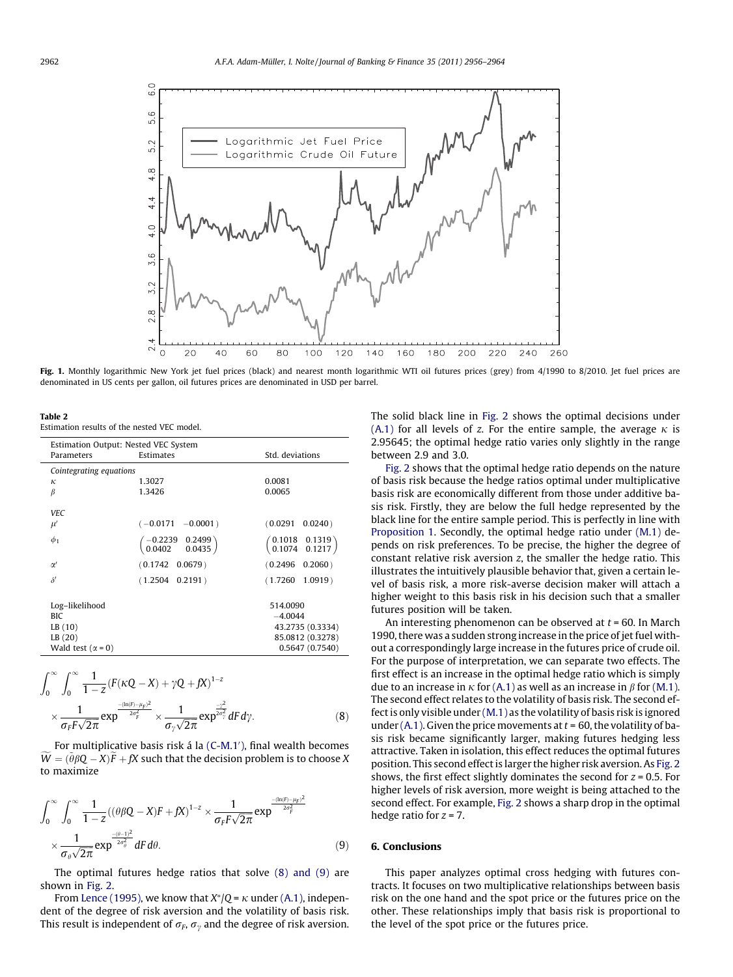<span id="page-6-0"></span>

Fig. 1. Monthly logarithmic New York jet fuel prices (black) and nearest month logarithmic WTI oil futures prices (grey) from 4/1990 to 8/2010. Jet fuel prices are denominated in US cents per gallon, oil futures prices are denominated in USD per barrel.

Table 2

Estimation results of the nested VEC model.

| Estimation Output: Nested VEC System                                             |                                                                     |                                                                                 |  |  |  |
|----------------------------------------------------------------------------------|---------------------------------------------------------------------|---------------------------------------------------------------------------------|--|--|--|
| Parameters                                                                       | Estimates                                                           | Std. deviations                                                                 |  |  |  |
| Cointegrating equations                                                          |                                                                     |                                                                                 |  |  |  |
| к                                                                                | 1.3027                                                              | 0.0081                                                                          |  |  |  |
| β                                                                                | 1.3426                                                              | 0.0065                                                                          |  |  |  |
| <b>VEC</b>                                                                       |                                                                     |                                                                                 |  |  |  |
| $\mu'$                                                                           | $(-0.0171 - 0.0001)$                                                | (0.0291)<br>$0.0240$ )                                                          |  |  |  |
| $\phi_1$                                                                         | $\begin{pmatrix} -0.2239 & 0.2499 \\ 0.0402 & 0.0435 \end{pmatrix}$ | $\begin{pmatrix} 0.1018 & 0.1319 \\ 0.1074 & 0.1217 \end{pmatrix}$              |  |  |  |
| $\alpha'$                                                                        | $(0.1742 \quad 0.0679)$                                             | $0.2060$ )<br>(0.2496)                                                          |  |  |  |
| $\delta'$                                                                        | $(1.2504 \quad 0.2191)$                                             | (1.7260)<br>$1.0919$ )                                                          |  |  |  |
| Log-likelihood<br><b>BIC</b><br>LB (10)<br>LB (20)<br>Wald test ( $\alpha = 0$ ) |                                                                     | 514.0090<br>$-4.0044$<br>43.2735 (0.3334)<br>85.0812 (0.3278)<br>0.5647(0.7540) |  |  |  |

$$
\int_0^\infty \int_0^\infty \frac{1}{1-z} (F(\kappa Q - X) + \gamma Q + fX)^{1-z}
$$
  
 
$$
\times \frac{1}{\sigma_F F \sqrt{2\pi}} \exp^{\frac{-(\ln(F) - \mu_F)^2}{2\sigma_F^2}} \times \frac{1}{\sigma_\gamma \sqrt{2\pi}} \exp^{\frac{-\gamma^2}{2\sigma_\gamma^2}} dF d\gamma.
$$
 (8)

For multiplicative basis risk á la [\(C-M.1](#page-5-0)′[\),](#page-5-0) final wealth becomes  $\widetilde{W} = (\widetilde{\theta}\beta{\mathsf Q} - X)\widetilde{F} + fX$  such that the decision problem is to choose X to maximize

$$
\int_0^\infty \int_0^\infty \frac{1}{1-z} \left( (\theta \beta Q - X) F + fX \right)^{1-z} \times \frac{1}{\sigma_F F \sqrt{2\pi}} \exp^{-\frac{-(\ln(F) - \mu_F)^2}{2\sigma_F^2}} \times \frac{1}{\sigma_\theta \sqrt{2\pi}} \exp^{-\frac{-(\mu - \mu_F)^2}{2\sigma_F^2}} dF d\theta.
$$
\n(9)

The optimal futures hedge ratios that solve [\(8\) and \(9\)](#page-5-0) are shown in [Fig. 2.](#page-7-0)

From [Lence \(1995\)](#page-8-0), we know that  $X^*/Q$  =  $\kappa$  under [\(A.1\)](#page-2-0), independent of the degree of risk aversion and the volatility of basis risk. This result is independent of  $\sigma_F$ ,  $\sigma_\nu$  and the degree of risk aversion. The solid black line in [Fig. 2](#page-7-0) shows the optimal decisions under [\(A.1\)](#page-2-0) for all levels of z. For the entire sample, the average  $\kappa$  is 2.95645; the optimal hedge ratio varies only slightly in the range between 2.9 and 3.0.

[Fig. 2](#page-7-0) shows that the optimal hedge ratio depends on the nature of basis risk because the hedge ratios optimal under multiplicative basis risk are economically different from those under additive basis risk. Firstly, they are below the full hedge represented by the black line for the entire sample period. This is perfectly in line with [Proposition 1.](#page-3-0) Secondly, the optimal hedge ratio under [\(M.1\)](#page-2-0) depends on risk preferences. To be precise, the higher the degree of constant relative risk aversion z, the smaller the hedge ratio. This illustrates the intuitively plausible behavior that, given a certain level of basis risk, a more risk-averse decision maker will attach a higher weight to this basis risk in his decision such that a smaller futures position will be taken.

An interesting phenomenon can be observed at  $t = 60$ . In March 1990, there was a sudden strong increase in the price of jet fuel without a correspondingly large increase in the futures price of crude oil. For the purpose of interpretation, we can separate two effects. The first effect is an increase in the optimal hedge ratio which is simply due to an increase in  $\kappa$  for [\(A.1\)](#page-2-0) as well as an increase in  $\beta$  for [\(M.1\).](#page-2-0) The second effect relates to the volatility of basis risk. The second effect is only visible under [\(M.1\)](#page-2-0) as the volatility of basis risk is ignored under [\(A.1\).](#page-2-0) Given the price movements at  $t = 60$ , the volatility of basis risk became significantly larger, making futures hedging less attractive. Taken in isolation, this effect reduces the optimal futures position. This second effect is larger the higher risk aversion. As [Fig. 2](#page-7-0) shows, the first effect slightly dominates the second for  $z = 0.5$ . For higher levels of risk aversion, more weight is being attached to the second effect. For example, [Fig. 2](#page-7-0) shows a sharp drop in the optimal hedge ratio for  $z = 7$ .

# 6. Conclusions

This paper analyzes optimal cross hedging with futures contracts. It focuses on two multiplicative relationships between basis risk on the one hand and the spot price or the futures price on the other. These relationships imply that basis risk is proportional to the level of the spot price or the futures price.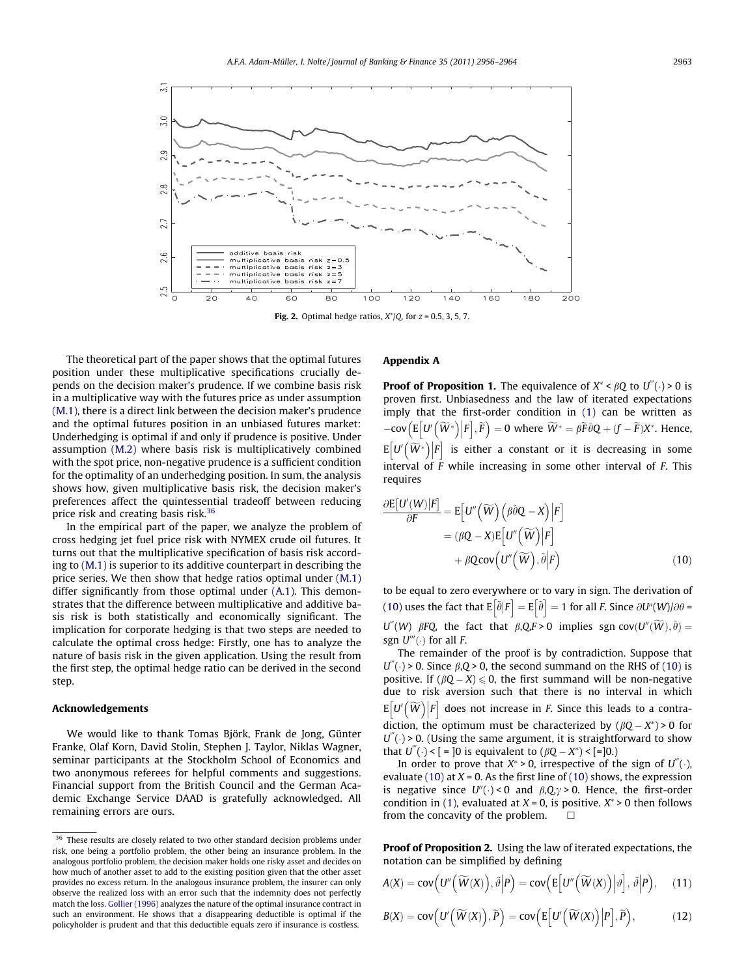<span id="page-7-0"></span>

Fig. 2. Optimal hedge ratios,  $X^*/Q$ , for  $z = 0.5, 3, 5, 7$ .

The theoretical part of the paper shows that the optimal futures position under these multiplicative specifications crucially depends on the decision maker's prudence. If we combine basis risk in a multiplicative way with the futures price as under assumption [\(M.1\),](#page-2-0) there is a direct link between the decision maker's prudence and the optimal futures position in an unbiased futures market: Underhedging is optimal if and only if prudence is positive. Under assumption [\(M.2\)](#page-2-0) where basis risk is multiplicatively combined with the spot price, non-negative prudence is a sufficient condition for the optimality of an underhedging position. In sum, the analysis shows how, given multiplicative basis risk, the decision maker's preferences affect the quintessential tradeoff between reducing price risk and creating basis risk.<sup>36</sup>

In the empirical part of the paper, we analyze the problem of cross hedging jet fuel price risk with NYMEX crude oil futures. It turns out that the multiplicative specification of basis risk according to [\(M.1\)](#page-2-0) is superior to its additive counterpart in describing the price series. We then show that hedge ratios optimal under [\(M.1\)](#page-2-0) differ significantly from those optimal under [\(A.1\)](#page-2-0). This demonstrates that the difference between multiplicative and additive basis risk is both statistically and economically significant. The implication for corporate hedging is that two steps are needed to calculate the optimal cross hedge: Firstly, one has to analyze the nature of basis risk in the given application. Using the result from the first step, the optimal hedge ratio can be derived in the second step.

#### Acknowledgements

We would like to thank Tomas Björk, Frank de Jong, Günter Franke, Olaf Korn, David Stolin, Stephen J. Taylor, Niklas Wagner, seminar participants at the Stockholm School of Economics and two anonymous referees for helpful comments and suggestions. Financial support from the British Council and the German Academic Exchange Service DAAD is gratefully acknowledged. All remaining errors are ours.

# Appendix A

**Proof of Proposition 1.** The equivalence of  $X^* < \beta Q$  to  $U^{(0)} \rightarrow 0$  is proven first. Unbiasedness and the law of iterated expectations imply that the first-order condition in [\(1\)](#page-1-0) can be written as  $-\text{cov}\left(\mathbb{E}\left[U'\left(\widetilde{W}^*\right)|F\right],\widetilde{F}\right) = 0$  where  $\widetilde{W}^* = \beta \widetilde{F}\widetilde{\theta}Q + (f - \widetilde{F})X^*$ . Hence,  $\mathbb{E}\left[U\left(\overset{\sim}{W^*}\right)\Big|F\right]$  is either a constant or it is decreasing in some interval of F while increasing in some other interval of F. This requires

$$
\frac{\partial E[U'(W)|F]}{\partial F} = E[U''(\widetilde{W})(\widehat{\beta}\widetilde{\theta}Q - X)|F] \n= (\beta Q - X)E[U''(\widetilde{W})|F] \n+ \beta Qcov(U''(\widetilde{W}), \widetilde{\theta}|F)
$$
\n(10)

to be equal to zero everywhere or to vary in sign. The derivation of (10) uses the fact that  $E[\tilde{\theta}|F] = E[\tilde{\theta}] = 1$  for all F. Since  $\partial U''(W)/\partial \theta =$  $U''(W)$   $\beta FQ$ , the fact that  $\beta, QF > 0$  implies sgn cov $(U''(\widetilde{W}), \widetilde{\theta}) =$ sgn  $U'''(.)$  for all F.

The remainder of the proof is by contradiction. Suppose that  $U''(.) > 0$ . Since  $\beta, Q > 0$ , the second summand on the RHS of (10) is positive. If  $(\beta Q - X) \le 0$ , the first summand will be non-negative due to risk aversion such that there is no interval in which  $\mathbb{E} \big[ U' \big( \widetilde{W} \big) \big| F \big]$  does not increase in F. Since this leads to a contradiction, the optimum must be characterized by  $(\beta Q - X^*) > 0$  for  $U^{(0)}(.)$  > 0. (Using the same argument, it is straightforward to show that  $U'''(.) <$  [ = ]0 is equivalent to  $(\beta Q - X^*) <$  [=]0.)

In order to prove that  $X^* > 0$ , irrespective of the sign of  $U''(.)$ , evaluate (10) at  $X = 0$ . As the first line of (10) shows, the expression is negative since  $U''(.) < 0$  and  $\beta, Q, \gamma > 0$ . Hence, the first-order condition in [\(1\),](#page-1-0) evaluated at  $X = 0$ , is positive.  $X^* > 0$  then follows from the concavity of the problem.  $\Box$ 

Proof of Proposition 2. Using the law of iterated expectations, the notation can be simplified by defining

$$
A(X) = \text{cov}\Big(U''\Big(\widetilde{W}(X)\Big), \widetilde{\vartheta}\Big|P\Big) = \text{cov}\Big(E\Big[U''\Big(\widetilde{W}(X)\Big)\Big|\vartheta\Big], \widetilde{\vartheta}\Big|P\Big), \quad (11)
$$

$$
B(X) = \text{cov}\Big(U'\Big(\widetilde{W}(X)\Big), \widetilde{P}\Big) = \text{cov}\Big(E\Big[U'\Big(\widetilde{W}(X)\Big)\Big|P\Big], \widetilde{P}\Big),\tag{12}
$$

 $\overline{\phantom{a}^{36}}$  These results are closely related to two other standard decision problems under risk, one being a portfolio problem, the other being an insurance problem. In the analogous portfolio problem, the decision maker holds one risky asset and decides on how much of another asset to add to the existing position given that the other asset provides no excess return. In the analogous insurance problem, the insurer can only observe the realized loss with an error such that the indemnity does not perfectly match the loss. [Gollier \(1996\)](#page-8-0) analyzes the nature of the optimal insurance contract in such an environment. He shows that a disappearing deductible is optimal if the policyholder is prudent and that this deductible equals zero if insurance is costless.